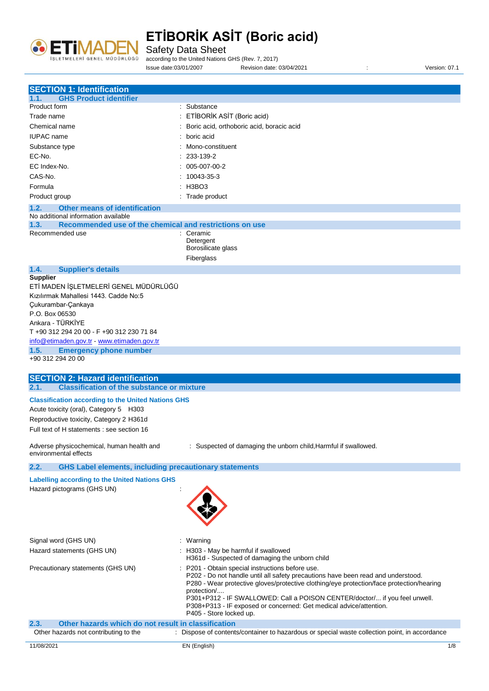

Safety Data Sheet

according to the United Nations GHS (Rev. 7, 2017)

Issue date:03/01/2007 Revision date: 03/04/2021 : Version: 07.1

| <b>SECTION 1: Identification</b>                                                                     |                                                                                                                                      |
|------------------------------------------------------------------------------------------------------|--------------------------------------------------------------------------------------------------------------------------------------|
| <b>GHS Product identifier</b><br>1.1.                                                                |                                                                                                                                      |
| Product form                                                                                         | : Substance                                                                                                                          |
| Trade name                                                                                           | : ETİBORİK ASİT (Boric acid)                                                                                                         |
| Chemical name                                                                                        | : Boric acid, orthoboric acid, boracic acid                                                                                          |
| <b>IUPAC</b> name                                                                                    | boric acid                                                                                                                           |
| Substance type                                                                                       | Mono-constituent                                                                                                                     |
| EC-No.                                                                                               | 233-139-2                                                                                                                            |
| EC Index-No.<br>005-007-00-2                                                                         |                                                                                                                                      |
| CAS-No.                                                                                              | 10043-35-3                                                                                                                           |
|                                                                                                      |                                                                                                                                      |
| : H3BO3<br>Formula                                                                                   |                                                                                                                                      |
| Product group                                                                                        | : Trade product                                                                                                                      |
| <b>Other means of identification</b><br>1.2.<br>No additional information available                  |                                                                                                                                      |
| Recommended use of the chemical and restrictions on use<br>1.3.                                      |                                                                                                                                      |
| Recommended use                                                                                      | : Ceramic                                                                                                                            |
|                                                                                                      | Detergent                                                                                                                            |
|                                                                                                      | Borosilicate glass                                                                                                                   |
|                                                                                                      | Fiberglass                                                                                                                           |
| 1.4.<br><b>Supplier's details</b>                                                                    |                                                                                                                                      |
| <b>Supplier</b>                                                                                      |                                                                                                                                      |
| ETİ MADEN İŞLETMELERİ GENEL MÜDÜRLÜĞÜ                                                                |                                                                                                                                      |
| Kızılırmak Mahallesi 1443. Cadde No:5                                                                |                                                                                                                                      |
| Çukurambar-Çankaya                                                                                   |                                                                                                                                      |
| P.O. Box 06530                                                                                       |                                                                                                                                      |
| Ankara - TÜRKİYE<br>T +90 312 294 20 00 - F +90 312 230 71 84                                        |                                                                                                                                      |
| info@etimaden.gov.tr - www.etimaden.gov.tr                                                           |                                                                                                                                      |
| 1.5.<br><b>Emergency phone number</b>                                                                |                                                                                                                                      |
| +90 312 294 20 00                                                                                    |                                                                                                                                      |
|                                                                                                      |                                                                                                                                      |
| <b>SECTION 2: Hazard identification</b>                                                              |                                                                                                                                      |
| <b>Classification of the substance or mixture</b><br>2.1.                                            |                                                                                                                                      |
| <b>Classification according to the United Nations GHS</b>                                            |                                                                                                                                      |
| Acute toxicity (oral), Category 5 H303                                                               |                                                                                                                                      |
| Reproductive toxicity, Category 2 H361d                                                              |                                                                                                                                      |
| Full text of H statements : see section 16                                                           |                                                                                                                                      |
|                                                                                                      |                                                                                                                                      |
| Adverse physicochemical, human health and                                                            | : Suspected of damaging the unborn child, Harmful if swallowed.                                                                      |
| environmental effects                                                                                |                                                                                                                                      |
| <b>GHS Label elements, including precautionary statements</b><br>2.2.                                |                                                                                                                                      |
| <b>Labelling according to the United Nations GHS</b>                                                 |                                                                                                                                      |
| Hazard pictograms (GHS UN)                                                                           |                                                                                                                                      |
|                                                                                                      |                                                                                                                                      |
|                                                                                                      |                                                                                                                                      |
|                                                                                                      |                                                                                                                                      |
|                                                                                                      |                                                                                                                                      |
|                                                                                                      |                                                                                                                                      |
| Signal word (GHS UN)                                                                                 | : Warning                                                                                                                            |
| Hazard statements (GHS UN)                                                                           | : H303 - May be harmful if swallowed                                                                                                 |
|                                                                                                      | H361d - Suspected of damaging the unborn child                                                                                       |
| Precautionary statements (GHS UN)                                                                    | : P201 - Obtain special instructions before use.<br>P202 - Do not handle until all safety precautions have been read and understood. |
|                                                                                                      | P280 - Wear protective gloves/protective clothing/eye protection/face protection/hearing                                             |
|                                                                                                      | protection/                                                                                                                          |
|                                                                                                      | P301+P312 - IF SWALLOWED: Call a POISON CENTER/doctor/ if you feel unwell.                                                           |
|                                                                                                      | P308+P313 - IF exposed or concerned: Get medical advice/attention.                                                                   |
|                                                                                                      | P405 - Store locked up.                                                                                                              |
| Other hazards which do not result in classification<br>2.3.<br>Other hazards not contributing to the | : Dispose of contents/container to hazardous or special waste collection point, in accordance                                        |
|                                                                                                      |                                                                                                                                      |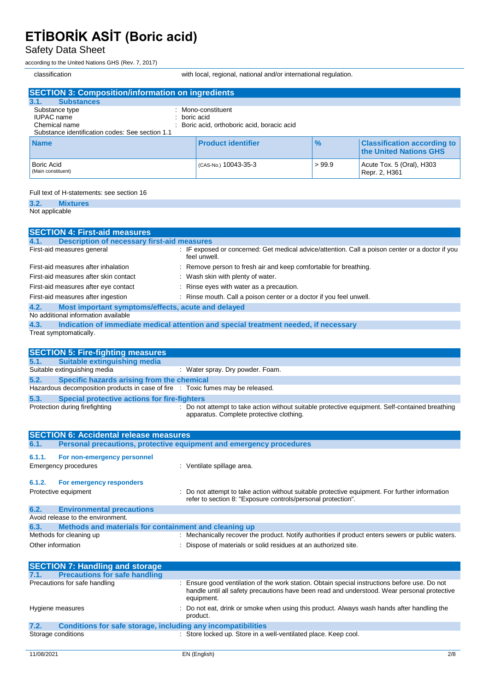Safety Data Sheet

according to the United Nations GHS (Rev. 7, 2017)

classification with local, regional, national and/or international regulation.

| <b>SECTION 3: Composition/information on ingredients</b>                                                                    |                                                               |               |                                                              |
|-----------------------------------------------------------------------------------------------------------------------------|---------------------------------------------------------------|---------------|--------------------------------------------------------------|
| 3.1.<br><b>Substances</b>                                                                                                   |                                                               |               |                                                              |
| Substance type<br>т.<br><b>IUPAC</b> name<br>boric acid<br>Chemical name<br>Substance identification codes: See section 1.1 | Mono-constituent<br>Boric acid, orthoboric acid, boracic acid |               |                                                              |
| <b>Name</b>                                                                                                                 | <b>Product identifier</b>                                     | $\frac{9}{6}$ | <b>Classification according to</b><br>the United Nations GHS |
| <b>Boric Acid</b><br>(Main constituent)                                                                                     | (CAS-No.) 10043-35-3                                          | >99.9         | Acute Tox. 5 (Oral), H303<br>Repr. 2, H361                   |

#### Full text of H-statements: see section 16

**3.2. Mixtures** Not applicable

| <b>SECTION 4: First-aid measures</b>                                                         |                                                                                                                                             |  |
|----------------------------------------------------------------------------------------------|---------------------------------------------------------------------------------------------------------------------------------------------|--|
| <b>Description of necessary first-aid measures</b><br>4.1.                                   |                                                                                                                                             |  |
| First-aid measures general                                                                   | : IF exposed or concerned: Get medical advice/attention. Call a poison center or a doctor if you<br>feel unwell.                            |  |
| First-aid measures after inhalation                                                          | : Remove person to fresh air and keep comfortable for breathing.                                                                            |  |
| First-aid measures after skin contact                                                        | : Wash skin with plenty of water.                                                                                                           |  |
| First-aid measures after eye contact                                                         | Rinse eyes with water as a precaution.                                                                                                      |  |
| First-aid measures after ingestion                                                           | : Rinse mouth. Call a poison center or a doctor if you feel unwell.                                                                         |  |
| Most important symptoms/effects, acute and delayed<br>4.2.                                   |                                                                                                                                             |  |
| No additional information available                                                          |                                                                                                                                             |  |
| Indication of immediate medical attention and special treatment needed, if necessary<br>4.3. |                                                                                                                                             |  |
| Treat symptomatically.                                                                       |                                                                                                                                             |  |
|                                                                                              |                                                                                                                                             |  |
| <b>SECTION 5: Fire-fighting measures</b>                                                     |                                                                                                                                             |  |
| <b>Suitable extinguishing media</b><br>5.1.                                                  |                                                                                                                                             |  |
| Suitable extinguishing media                                                                 | : Water spray. Dry powder. Foam.                                                                                                            |  |
| 5.2.<br>Specific hazards arising from the chemical                                           |                                                                                                                                             |  |
| Hazardous decomposition products in case of fire : Toxic fumes may be released.              |                                                                                                                                             |  |
| 5.3.<br><b>Special protective actions for fire-fighters</b>                                  |                                                                                                                                             |  |
| Protection during firefighting                                                               | : Do not attempt to take action without suitable protective equipment. Self-contained breathing<br>apparatus. Complete protective clothing. |  |

| <b>SECTION 6: Accidental release measures</b> |                                                                     |                                                                                                                                                                                                            |
|-----------------------------------------------|---------------------------------------------------------------------|------------------------------------------------------------------------------------------------------------------------------------------------------------------------------------------------------------|
| 6.1.                                          | Personal precautions, protective equipment and emergency procedures |                                                                                                                                                                                                            |
| 6.1.1.                                        | For non-emergency personnel                                         |                                                                                                                                                                                                            |
|                                               | Emergency procedures                                                | : Ventilate spillage area.                                                                                                                                                                                 |
| 6.1.2.                                        | For emergency responders                                            |                                                                                                                                                                                                            |
|                                               | Protective equipment                                                | : Do not attempt to take action without suitable protective equipment. For further information<br>refer to section 8: "Exposure controls/personal protection".                                             |
| 6.2.                                          | <b>Environmental precautions</b>                                    |                                                                                                                                                                                                            |
|                                               | Avoid release to the environment.                                   |                                                                                                                                                                                                            |
| 6.3.                                          | Methods and materials for containment and cleaning up               |                                                                                                                                                                                                            |
| Methods for cleaning up                       |                                                                     | : Mechanically recover the product. Notify authorities if product enters sewers or public waters.                                                                                                          |
|                                               | Other information                                                   | : Dispose of materials or solid residues at an authorized site.                                                                                                                                            |
|                                               | <b>SECTION 7: Handling and storage</b>                              |                                                                                                                                                                                                            |
| 7.1.                                          | <b>Precautions for safe handling</b>                                |                                                                                                                                                                                                            |
|                                               | Precautions for safe handling                                       | : Ensure good ventilation of the work station. Obtain special instructions before use. Do not<br>handle until all safety precautions have been read and understood. Wear personal protective<br>equipment. |
|                                               | Hygiene measures                                                    | Do not eat, drink or smoke when using this product. Always wash hands after handling the<br>product.                                                                                                       |
| 7.2.                                          | <b>Conditions for safe storage, including any incompatibilities</b> |                                                                                                                                                                                                            |
|                                               | Storage conditions                                                  | : Store locked up. Store in a well-ventilated place. Keep cool.                                                                                                                                            |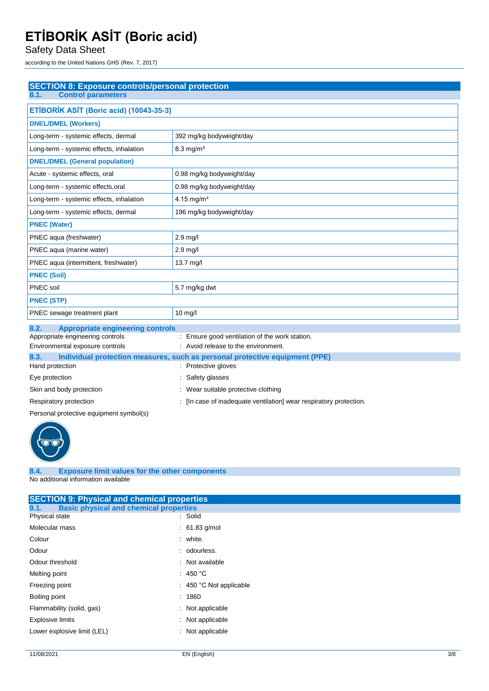Safety Data Sheet

according to the United Nations GHS (Rev. 7, 2017)

| <b>SECTION 8: Exposure controls/personal protection</b>                |                                                                             |  |
|------------------------------------------------------------------------|-----------------------------------------------------------------------------|--|
| <b>Control parameters</b><br>8.1.                                      |                                                                             |  |
| ETİBORİK ASİT (Boric acid) (10043-35-3)                                |                                                                             |  |
| <b>DNEL/DMEL (Workers)</b>                                             |                                                                             |  |
| Long-term - systemic effects, dermal                                   | 392 mg/kg bodyweight/day                                                    |  |
| Long-term - systemic effects, inhalation                               | $8.3 \text{ mg/m}^3$                                                        |  |
| <b>DNEL/DMEL (General population)</b>                                  |                                                                             |  |
| Acute - systemic effects, oral                                         | 0.98 mg/kg bodyweight/day                                                   |  |
| Long-term - systemic effects, oral                                     | 0.98 mg/kg bodyweight/day                                                   |  |
| Long-term - systemic effects, inhalation                               | 4.15 mg/m <sup>3</sup>                                                      |  |
| Long-term - systemic effects, dermal                                   | 196 mg/kg bodyweight/day                                                    |  |
| <b>PNEC (Water)</b>                                                    |                                                                             |  |
| PNEC aqua (freshwater)                                                 | $2.9$ mg/l                                                                  |  |
| PNEC aqua (marine water)                                               | $2.9$ mg/l                                                                  |  |
| PNEC aqua (intermittent, freshwater)                                   | 13.7 mg/l                                                                   |  |
| <b>PNEC (Soil)</b>                                                     |                                                                             |  |
| PNEC soil                                                              | 5.7 mg/kg dwt                                                               |  |
| <b>PNEC (STP)</b>                                                      |                                                                             |  |
| PNEC sewage treatment plant                                            | $10 \text{ mg/l}$                                                           |  |
| 8.2.<br><b>Appropriate engineering controls</b>                        |                                                                             |  |
| Appropriate engineering controls                                       | : Ensure good ventilation of the work station.                              |  |
| Environmental exposure controls<br>: Avoid release to the environment. |                                                                             |  |
| 83                                                                     | Individual protection measures, such as personal protective equipment (PPF) |  |

| 8.3.                     | Individual protection measures, such as personal protective equipment (PPE) |  |  |
|--------------------------|-----------------------------------------------------------------------------|--|--|
| Hand protection          | : Protective gloves                                                         |  |  |
| Eye protection           | : Safety glasses                                                            |  |  |
| Skin and body protection | : Wear suitable protective clothing                                         |  |  |
| Respiratory protection   | : [In case of inadequate ventilation] wear respiratory protection.          |  |  |

Personal protective equipment symbol(s)



#### **8.4. Exposure limit values for the other components** No additional information available

| <b>SECTION 9: Physical and chemical properties</b>    |                                    |  |
|-------------------------------------------------------|------------------------------------|--|
| <b>Basic physical and chemical properties</b><br>9.1. |                                    |  |
| Physical state                                        | : Solid                            |  |
| Molecular mass                                        | $: 61.83$ g/mol                    |  |
| Colour                                                | : white.                           |  |
| Odour                                                 | : odourless.                       |  |
| Odour threshold                                       | : Not available                    |  |
| Melting point                                         | : 450 °C                           |  |
| Freezing point                                        | $\therefore$ 450 °C Not applicable |  |
| Boiling point                                         | : 1860                             |  |
| Flammability (solid, gas)                             | : Not applicable                   |  |
| <b>Explosive limits</b>                               | : Not applicable                   |  |
| Lower explosive limit (LEL)                           | : Not applicable                   |  |
|                                                       |                                    |  |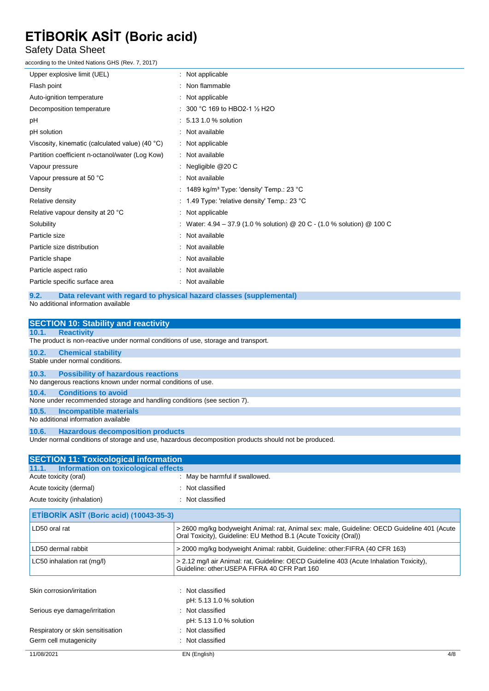#### Safety Data Sheet

according to the United Nations GHS (Rev. 7, 2017)

| Upper explosive limit (UEL)                                                 | : Not applicable                                                        |  |
|-----------------------------------------------------------------------------|-------------------------------------------------------------------------|--|
| Flash point                                                                 | : Non flammable                                                         |  |
| Auto-ignition temperature                                                   | Not applicable                                                          |  |
| Decomposition temperature                                                   | 300 °C 169 to HBO2-1 1/2 H2O                                            |  |
| рH                                                                          | : 5.13 1.0 % solution                                                   |  |
| pH solution                                                                 | : Not available                                                         |  |
| Viscosity, kinematic (calculated value) (40 °C)                             | : Not applicable                                                        |  |
| Partition coefficient n-octanol/water (Log Kow)                             | : Not available                                                         |  |
| Vapour pressure                                                             | : Negligible $@20C$                                                     |  |
| Vapour pressure at 50 °C                                                    | : Not available                                                         |  |
| Density                                                                     | : $1489$ kg/m <sup>3</sup> Type: 'density' Temp.: 23 °C                 |  |
| Relative density                                                            | : 1.49 Type: 'relative density' Temp.: 23 $^{\circ}$ C                  |  |
| Relative vapour density at 20 °C                                            | : Not applicable                                                        |  |
| Solubility                                                                  | : Water: 4.94 – 37.9 (1.0 % solution) @ 20 C - (1.0 % solution) @ 100 C |  |
| Particle size                                                               | : Not available                                                         |  |
| Particle size distribution                                                  | : Not available                                                         |  |
| Particle shape                                                              | Not available                                                           |  |
| Particle aspect ratio                                                       | Not available                                                           |  |
| Particle specific surface area                                              | : Not available                                                         |  |
| Data relevant with regard to physical hazard classes (supplemental)<br>9.2. |                                                                         |  |
| No additional information available                                         |                                                                         |  |
| <b>SECTION 10: Stability and reactivity</b>                                 |                                                                         |  |

| <b>SECTION 10: Stability and reactivity</b>                                                          |                                                                                                                                                                 |  |  |
|------------------------------------------------------------------------------------------------------|-----------------------------------------------------------------------------------------------------------------------------------------------------------------|--|--|
| 10.1.<br><b>Reactivity</b>                                                                           |                                                                                                                                                                 |  |  |
| The product is non-reactive under normal conditions of use, storage and transport.                   |                                                                                                                                                                 |  |  |
| 10.2.<br><b>Chemical stability</b>                                                                   |                                                                                                                                                                 |  |  |
| Stable under normal conditions.                                                                      |                                                                                                                                                                 |  |  |
| 10.3.                                                                                                | <b>Possibility of hazardous reactions</b>                                                                                                                       |  |  |
| No dangerous reactions known under normal conditions of use.                                         |                                                                                                                                                                 |  |  |
| <b>Conditions to avoid</b><br>10.4.                                                                  |                                                                                                                                                                 |  |  |
| None under recommended storage and handling conditions (see section 7).                              |                                                                                                                                                                 |  |  |
| 10.5.                                                                                                | Incompatible materials                                                                                                                                          |  |  |
| No additional information available                                                                  |                                                                                                                                                                 |  |  |
| <b>Hazardous decomposition products</b><br>10.6.                                                     |                                                                                                                                                                 |  |  |
| Under normal conditions of storage and use, hazardous decomposition products should not be produced. |                                                                                                                                                                 |  |  |
|                                                                                                      |                                                                                                                                                                 |  |  |
| <b>SECTION 11: Toxicological information</b>                                                         |                                                                                                                                                                 |  |  |
| <b>Information on toxicological effects</b><br>11.1.                                                 |                                                                                                                                                                 |  |  |
| Acute toxicity (oral)                                                                                | : May be harmful if swallowed.                                                                                                                                  |  |  |
| : Not classified<br>Acute toxicity (dermal)                                                          |                                                                                                                                                                 |  |  |
| Acute toxicity (inhalation)<br>: Not classified                                                      |                                                                                                                                                                 |  |  |
| ETİBORİK ASİT (Boric acid) (10043-35-3)                                                              |                                                                                                                                                                 |  |  |
|                                                                                                      |                                                                                                                                                                 |  |  |
| LD50 oral rat                                                                                        | > 2600 mg/kg bodyweight Animal: rat, Animal sex: male, Guideline: OECD Guideline 401 (Acute<br>Oral Toxicity), Guideline: EU Method B.1 (Acute Toxicity (Oral)) |  |  |

| LC50 inhalation rat (mg/l) | > 2.12 mg/l air Animal: rat, Guideline: OECD Guideline 403 (Acute Inhalation Toxicity),<br>Guideline: other: USEPA FIFRA 40 CFR Part 160 |  |
|----------------------------|------------------------------------------------------------------------------------------------------------------------------------------|--|
| Skin corrosion/irritation  | : Not classified<br>pH: 5.13 1.0 % solution                                                                                              |  |

| <b>PIT. 0.10 1.0 70 SUILLIUIT</b> |
|-----------------------------------|
| : Not classified                  |
| pH: 5.13 1.0 % solution           |
| : Not classified                  |
| : Not classified                  |
|                                   |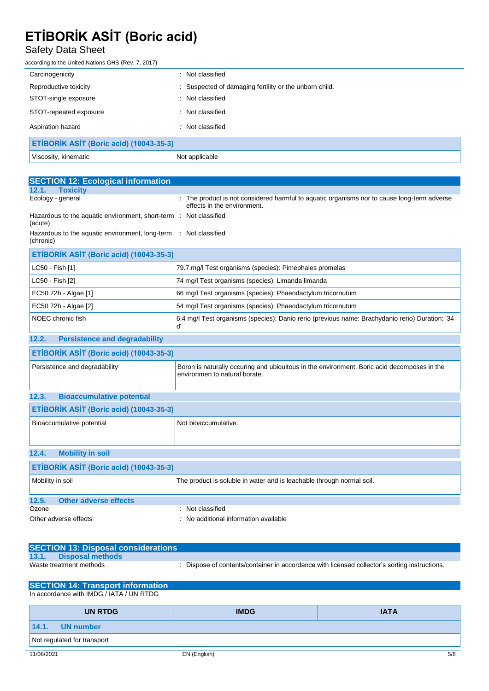#### Safety Data Sheet

according to the United Nations GHS (Rev. 7, 2017)

| Carcinogenicity                         | : Not classified                                       |  |
|-----------------------------------------|--------------------------------------------------------|--|
| Reproductive toxicity                   | : Suspected of damaging fertility or the unborn child. |  |
| STOT-single exposure                    | : Not classified                                       |  |
| STOT-repeated exposure                  | : Not classified                                       |  |
| Aspiration hazard                       | Not classified<br>÷                                    |  |
| ETİBORİK ASİT (Boric acid) (10043-35-3) |                                                        |  |
| Viscosity, kinematic                    | Not applicable                                         |  |

| <b>SECTION 12: Ecological information</b>                                     |                                                                                                                              |  |  |
|-------------------------------------------------------------------------------|------------------------------------------------------------------------------------------------------------------------------|--|--|
| <b>Toxicity</b><br>12.1.                                                      |                                                                                                                              |  |  |
| Ecology - general                                                             | : The product is not considered harmful to aquatic organisms nor to cause long-term adverse<br>effects in the environment.   |  |  |
| (acute)                                                                       | Hazardous to the aquatic environment, short-term : Not classified                                                            |  |  |
| Hazardous to the aquatic environment, long-term : Not classified<br>(chronic) |                                                                                                                              |  |  |
| ETİBORİK ASİT (Boric acid) (10043-35-3)                                       |                                                                                                                              |  |  |
| LC50 - Fish [1]                                                               | 79.7 mg/l Test organisms (species): Pimephales promelas                                                                      |  |  |
| LC50 - Fish [2]                                                               | 74 mg/l Test organisms (species): Limanda limanda                                                                            |  |  |
| EC50 72h - Algae [1]                                                          | 66 mg/l Test organisms (species): Phaeodactylum tricornutum                                                                  |  |  |
| EC50 72h - Algae [2]                                                          | 54 mg/l Test organisms (species): Phaeodactylum tricornutum                                                                  |  |  |
| NOEC chronic fish                                                             | 6.4 mg/l Test organisms (species): Danio rerio (previous name: Brachydanio rerio) Duration: '34<br>ď                         |  |  |
| <b>Persistence and degradability</b><br>12.2.                                 |                                                                                                                              |  |  |
| ETİBORİK ASİT (Boric acid) (10043-35-3)                                       |                                                                                                                              |  |  |
| Persistence and degradability                                                 | Boron is naturally occuring and ubiquitous in the environment. Boric acid decomposes in the<br>environmen to natural borate. |  |  |
| 12.3.<br><b>Bioaccumulative potential</b>                                     |                                                                                                                              |  |  |
| ETİBORİK ASİT (Boric acid) (10043-35-3)                                       |                                                                                                                              |  |  |
| Bioaccumulative potential                                                     | Not bioaccumulative.                                                                                                         |  |  |
| <b>Mobility in soil</b><br>12.4.                                              |                                                                                                                              |  |  |
| ETİBORİK ASİT (Boric acid) (10043-35-3)                                       |                                                                                                                              |  |  |
| Mobility in soil                                                              | The product is soluble in water and is leachable through normal soil.                                                        |  |  |
| 12.5.<br><b>Other adverse effects</b>                                         |                                                                                                                              |  |  |
| Ozone                                                                         | Not classified                                                                                                               |  |  |
| Other adverse effects                                                         | No additional information available                                                                                          |  |  |

|       | <b>SECTION 13: Disposal considerations</b> |                                                                                             |
|-------|--------------------------------------------|---------------------------------------------------------------------------------------------|
| 13.1. | Disposal methods                           |                                                                                             |
|       | Waste treatment methods                    | Dispose of contents/container in accordance with licensed collector's sorting instructions. |

| <b>SECTION 14: Transport information</b> |              |             |
|------------------------------------------|--------------|-------------|
| In accordance with IMDG / IATA / UN RTDG |              |             |
| <b>UN RTDG</b>                           | <b>IMDG</b>  | <b>IATA</b> |
| 14.1.<br>UN number                       |              |             |
| Not regulated for transport              |              |             |
| 11/08/2021                               | EN (English) | 5/8         |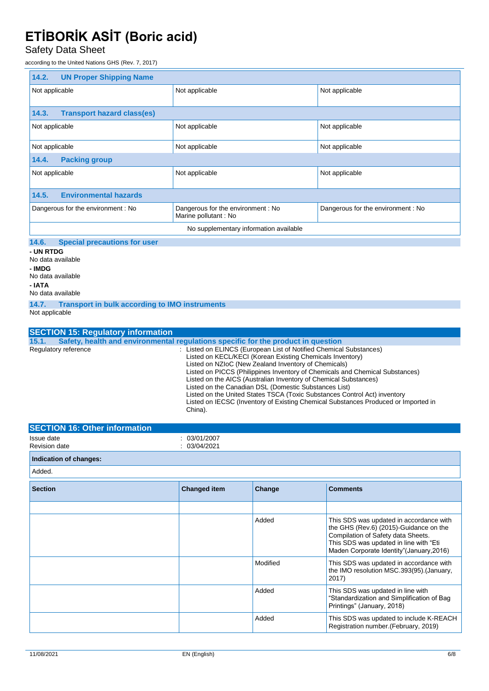Safety Data Sheet

according to the United Nations GHS (Rev. 7, 2017)

| <b>UN Proper Shipping Name</b><br>14.2.            |                                                           |                                   |
|----------------------------------------------------|-----------------------------------------------------------|-----------------------------------|
| Not applicable                                     | Not applicable                                            | Not applicable                    |
|                                                    |                                                           |                                   |
| <b>Transport hazard class(es)</b><br>14.3.         |                                                           |                                   |
| Not applicable                                     | Not applicable                                            | Not applicable                    |
|                                                    |                                                           |                                   |
| Not applicable<br>Not applicable<br>Not applicable |                                                           |                                   |
| <b>Packing group</b><br>14.4.                      |                                                           |                                   |
| Not applicable                                     | Not applicable                                            | Not applicable                    |
|                                                    |                                                           |                                   |
| <b>Environmental hazards</b><br>14.5.              |                                                           |                                   |
| Dangerous for the environment: No                  | Dangerous for the environment: No<br>Marine pollutant: No | Dangerous for the environment: No |
| No supplementary information available             |                                                           |                                   |
|                                                    |                                                           |                                   |

#### **14.6. Special precautions for user**

**- UN RTDG** No data available **- IMDG** No data available **- IATA** No data available

**14.7. Transport in bulk according to IMO instruments**

Not applicable

| <b>SECTION 15: Regulatory information</b> |                                                                                                                                                                                                                                                                                                                                                                                                                                                                                                                                                                                    |
|-------------------------------------------|------------------------------------------------------------------------------------------------------------------------------------------------------------------------------------------------------------------------------------------------------------------------------------------------------------------------------------------------------------------------------------------------------------------------------------------------------------------------------------------------------------------------------------------------------------------------------------|
| 15.1.                                     | Safety, health and environmental requiations specific for the product in question                                                                                                                                                                                                                                                                                                                                                                                                                                                                                                  |
| Regulatory reference                      | : Listed on ELINCS (European List of Notified Chemical Substances)<br>Listed on KECL/KECI (Korean Existing Chemicals Inventory)<br>Listed on NZIoC (New Zealand Inventory of Chemicals)<br>Listed on PICCS (Philippines Inventory of Chemicals and Chemical Substances)<br>Listed on the AICS (Australian Inventory of Chemical Substances)<br>Listed on the Canadian DSL (Domestic Substances List)<br>Listed on the United States TSCA (Toxic Substances Control Act) inventory<br>Listed on IECSC (Inventory of Existing Chemical Substances Produced or Imported in<br>China). |

| <b>SECTION 16: Other information</b> |                          |  |
|--------------------------------------|--------------------------|--|
| Issue date<br>Revision date          | 03/01/2007<br>03/04/2021 |  |
| Indication of changes:               |                          |  |

Added.

| <b>Section</b> | <b>Changed item</b> | Change   | <b>Comments</b>                                                                                                                                                                                                |
|----------------|---------------------|----------|----------------------------------------------------------------------------------------------------------------------------------------------------------------------------------------------------------------|
|                |                     |          |                                                                                                                                                                                                                |
|                |                     | Added    | This SDS was updated in accordance with<br>the GHS (Rev.6) (2015)-Guidance on the<br>Compilation of Safety data Sheets.<br>This SDS was updated in line with "Eti<br>Maden Corporate Identity" (January, 2016) |
|                |                     | Modified | This SDS was updated in accordance with<br>the IMO resolution MSC.393(95). (January,<br>2017)                                                                                                                  |
|                |                     | Added    | This SDS was updated in line with<br>"Standardization and Simplification of Bag<br>Printings" (January, 2018)                                                                                                  |
|                |                     | Added    | This SDS was updated to include K-REACH<br>Registration number. (February, 2019)                                                                                                                               |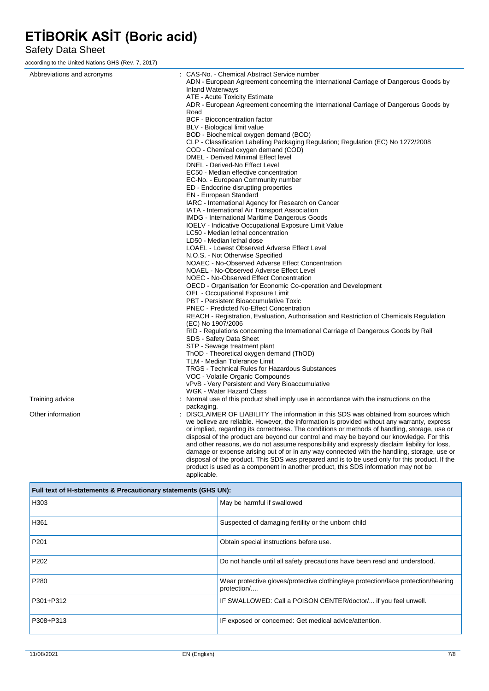#### Safety Data Sheet

according to the United Nations GHS (Rev. 7, 2017)

| Abbreviations and acronyms | : CAS-No. - Chemical Abstract Service number<br>ADN - European Agreement concerning the International Carriage of Dangerous Goods by                                                          |
|----------------------------|-----------------------------------------------------------------------------------------------------------------------------------------------------------------------------------------------|
|                            | <b>Inland Waterways</b>                                                                                                                                                                       |
|                            | ATE - Acute Toxicity Estimate                                                                                                                                                                 |
|                            | ADR - European Agreement concerning the International Carriage of Dangerous Goods by<br>Road                                                                                                  |
|                            | BCF - Bioconcentration factor                                                                                                                                                                 |
|                            | BLV - Biological limit value                                                                                                                                                                  |
|                            | BOD - Biochemical oxygen demand (BOD)                                                                                                                                                         |
|                            | CLP - Classification Labelling Packaging Regulation; Regulation (EC) No 1272/2008                                                                                                             |
|                            | COD - Chemical oxygen demand (COD)                                                                                                                                                            |
|                            | DMEL - Derived Minimal Effect level                                                                                                                                                           |
|                            | DNEL - Derived-No Effect Level                                                                                                                                                                |
|                            | EC50 - Median effective concentration                                                                                                                                                         |
|                            | EC-No. - European Community number                                                                                                                                                            |
|                            | ED - Endocrine disrupting properties                                                                                                                                                          |
|                            | <b>EN</b> - European Standard                                                                                                                                                                 |
|                            | IARC - International Agency for Research on Cancer                                                                                                                                            |
|                            | IATA - International Air Transport Association                                                                                                                                                |
|                            | <b>IMDG</b> - International Maritime Dangerous Goods                                                                                                                                          |
|                            | <b>IOELV</b> - Indicative Occupational Exposure Limit Value<br>LC50 - Median lethal concentration                                                                                             |
|                            | LD50 - Median lethal dose                                                                                                                                                                     |
|                            | LOAEL - Lowest Observed Adverse Effect Level                                                                                                                                                  |
|                            | N.O.S. - Not Otherwise Specified                                                                                                                                                              |
|                            | NOAEC - No-Observed Adverse Effect Concentration                                                                                                                                              |
|                            | NOAEL - No-Observed Adverse Effect Level                                                                                                                                                      |
|                            | NOEC - No-Observed Effect Concentration                                                                                                                                                       |
|                            | OECD - Organisation for Economic Co-operation and Development                                                                                                                                 |
|                            | OEL - Occupational Exposure Limit                                                                                                                                                             |
|                            | PBT - Persistent Bioaccumulative Toxic                                                                                                                                                        |
|                            | <b>PNEC</b> - Predicted No-Effect Concentration                                                                                                                                               |
|                            | REACH - Registration, Evaluation, Authorisation and Restriction of Chemicals Regulation<br>(EC) No 1907/2006                                                                                  |
|                            | RID - Regulations concerning the International Carriage of Dangerous Goods by Rail<br>SDS - Safety Data Sheet                                                                                 |
|                            | STP - Sewage treatment plant                                                                                                                                                                  |
|                            | ThOD - Theoretical oxygen demand (ThOD)                                                                                                                                                       |
|                            | TLM - Median Tolerance Limit                                                                                                                                                                  |
|                            | <b>TRGS - Technical Rules for Hazardous Substances</b>                                                                                                                                        |
|                            | VOC - Volatile Organic Compounds                                                                                                                                                              |
|                            | vPvB - Very Persistent and Very Bioaccumulative<br>WGK - Water Hazard Class                                                                                                                   |
| Training advice            | : Normal use of this product shall imply use in accordance with the instructions on the                                                                                                       |
|                            | packaging.                                                                                                                                                                                    |
| Other information          | : DISCLAIMER OF LIABILITY The information in this SDS was obtained from sources which                                                                                                         |
|                            | we believe are reliable. However, the information is provided without any warranty, express                                                                                                   |
|                            | or implied, regarding its correctness. The conditions or methods of handling, storage, use or                                                                                                 |
|                            | disposal of the product are beyond our control and may be beyond our knowledge. For this                                                                                                      |
|                            | and other reasons, we do not assume responsibility and expressly disclaim liability for loss,                                                                                                 |
|                            | damage or expense arising out of or in any way connected with the handling, storage, use or<br>disposal of the product. This SDS was prepared and is to be used only for this product. If the |

| Full text of H-statements & Precautionary statements (GHS UN): |                                                                                                  |
|----------------------------------------------------------------|--------------------------------------------------------------------------------------------------|
| H303                                                           | May be harmful if swallowed                                                                      |
| H361                                                           | Suspected of damaging fertility or the unborn child                                              |
| P <sub>201</sub>                                               | Obtain special instructions before use.                                                          |
| P <sub>202</sub>                                               | Do not handle until all safety precautions have been read and understood.                        |
| P <sub>280</sub>                                               | Wear protective gloves/protective clothing/eye protection/face protection/hearing<br>protection/ |
| P301+P312                                                      | IF SWALLOWED: Call a POISON CENTER/doctor/ if you feel unwell.                                   |
| P308+P313                                                      | IF exposed or concerned: Get medical advice/attention.                                           |

product is used as a component in another product, this SDS information may not be

applicable.